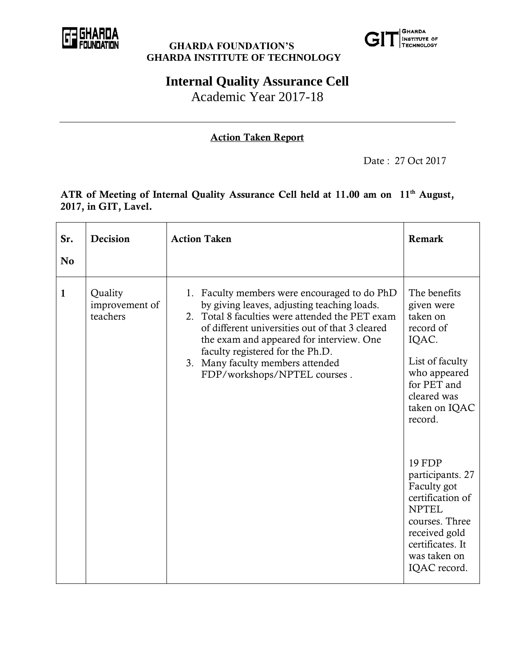

#### **GHARDA FOUNDATION'S GHARDA INSTITUTE OF TECHNOLOGY**



# **Internal Quality Assurance Cell**

Academic Year 2017-18

### **Action Taken Report**

Date : 27 Oct 2017

#### **ATR of Meeting of Internal Quality Assurance Cell held at 11.00 am on 11th August, 2017, in GIT, Lavel.**

| Sr.<br>N <sub>0</sub> | Decision                              | <b>Action Taken</b>                                                                                                                                                                                                                                                                                                                                   | Remark                                                                                                                                                                      |
|-----------------------|---------------------------------------|-------------------------------------------------------------------------------------------------------------------------------------------------------------------------------------------------------------------------------------------------------------------------------------------------------------------------------------------------------|-----------------------------------------------------------------------------------------------------------------------------------------------------------------------------|
| $\mathbf{1}$          | Quality<br>improvement of<br>teachers | 1. Faculty members were encouraged to do PhD<br>by giving leaves, adjusting teaching loads.<br>2. Total 8 faculties were attended the PET exam<br>of different universities out of that 3 cleared<br>the exam and appeared for interview. One<br>faculty registered for the Ph.D.<br>3. Many faculty members attended<br>FDP/workshops/NPTEL courses. | The benefits<br>given were<br>taken on<br>record of<br>IQAC.<br>List of faculty<br>who appeared<br>for PET and<br>cleared was<br>taken on IQAC<br>record.                   |
|                       |                                       |                                                                                                                                                                                                                                                                                                                                                       | <b>19 FDP</b><br>participants. 27<br>Faculty got<br>certification of<br><b>NPTEL</b><br>courses. Three<br>received gold<br>certificates. It<br>was taken on<br>IQAC record. |